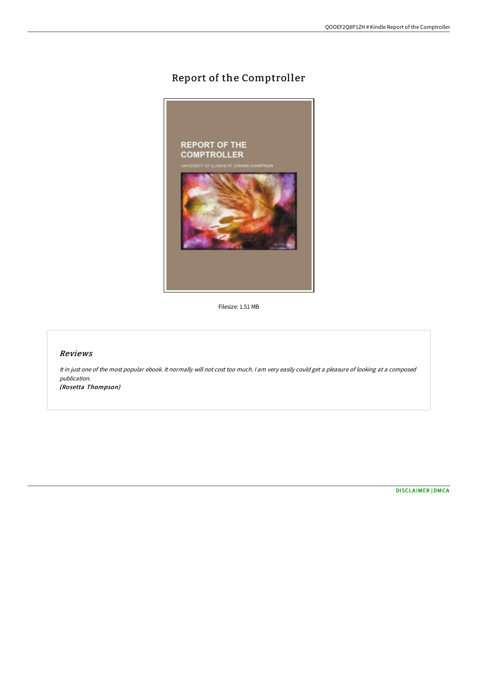# Report of the Comptroller



Filesize: 1.51 MB

## Reviews

It in just one of the most popular ebook. It normally will not cost too much. <sup>I</sup> am very easily could get <sup>a</sup> pleasure of looking at <sup>a</sup> composed publication. (Rosetta Thompson)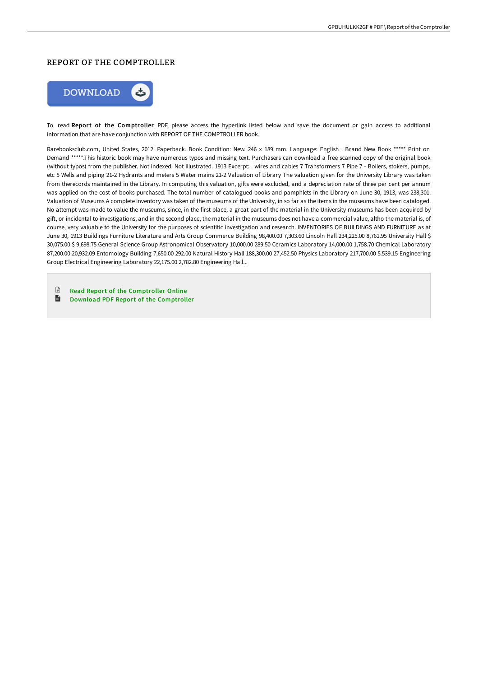#### REPORT OF THE COMPTROLLER



To read Report of the Comptroller PDF, please access the hyperlink listed below and save the document or gain access to additional information that are have conjunction with REPORT OF THE COMPTROLLER book.

Rarebooksclub.com, United States, 2012. Paperback. Book Condition: New. 246 x 189 mm. Language: English . Brand New Book \*\*\*\*\* Print on Demand \*\*\*\*\*.This historic book may have numerous typos and missing text. Purchasers can download a free scanned copy of the original book (without typos) from the publisher. Not indexed. Not illustrated. 1913 Excerpt: . wires and cables 7 Transformers 7 Pipe 7 - Boilers, stokers, pumps, etc 5 Wells and piping 21-2 Hydrants and meters 5 Water mains 21-2 Valuation of Library The valuation given for the University Library was taken from therecords maintained in the Library. In computing this valuation, gifts were excluded, and a depreciation rate of three per cent per annum was applied on the cost of books purchased. The total number of catalogued books and pamphlets in the Library on June 30, 1913, was 238,301. Valuation of Museums A complete inventory was taken of the museums of the University, in so far as the items in the museums have been cataloged. No attempt was made to value the museums, since, in the first place, a great part of the material in the University museums has been acquired by giF, or incidental to investigations, and in the second place, the material in the museums does not have a commercial value, altho the material is, of course, very valuable to the University for the purposes of scientific investigation and research. INVENTORIES OF BUILDINGS AND FURNITURE as at June 30, 1913 Buildings Furniture Literature and Arts Group Commerce Building 98,400.00 7,303.60 Lincoln Hall 234,225.00 8,761.95 University Hall \$ 30,075.00 \$ 9,698.75 General Science Group Astronomical Observatory 10,000.00 289.50 Ceramics Laboratory 14,000.00 1,758.70 Chemical Laboratory 87,200.00 20,932.09 Entomology Building 7,650.00 292.00 Natural History Hall 188,300.00 27,452.50 Physics Laboratory 217,700.00 5.539.15 Engineering Group Electrical Engineering Laboratory 22,175.00 2,782.80 Engineering Hall...

 $\mathbb{R}$ Read Report of the [Comptroller](http://digilib.live/report-of-the-comptroller-paperback.html) Online  $\overline{\mathbf{m}}$ Download PDF Report of the [Comptroller](http://digilib.live/report-of-the-comptroller-paperback.html)